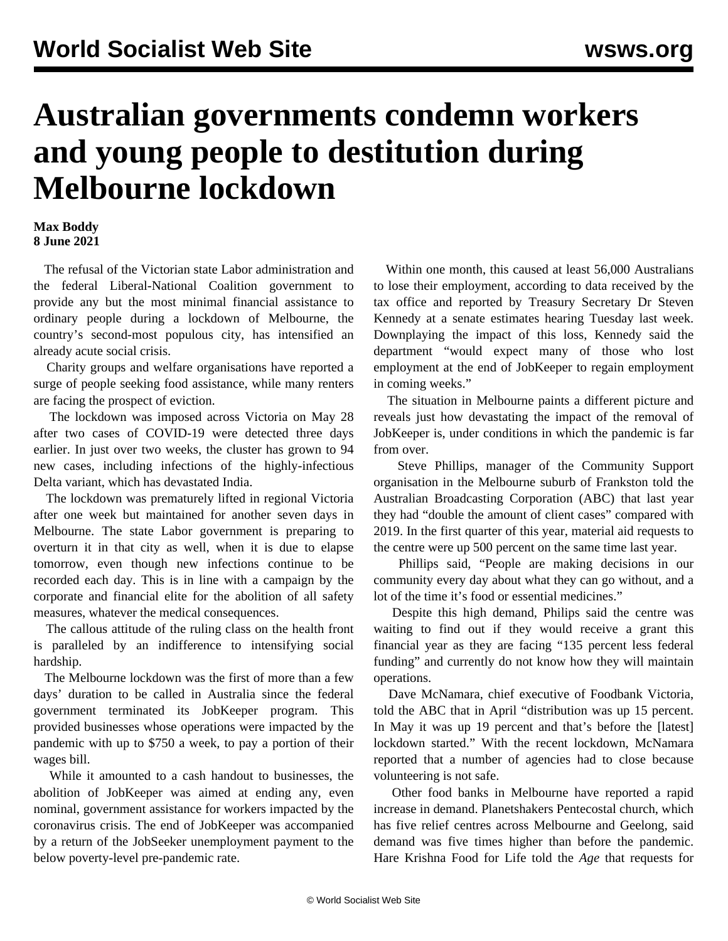## **Australian governments condemn workers and young people to destitution during Melbourne lockdown**

## **Max Boddy 8 June 2021**

 The refusal of the Victorian state Labor administration and the federal Liberal-National Coalition government to provide any but the most minimal financial assistance to ordinary people during a lockdown of Melbourne, the country's second-most populous city, has intensified an already acute social crisis.

 Charity groups and welfare organisations have reported a surge of people seeking food assistance, while many renters are facing the prospect of eviction.

 The lockdown was imposed across Victoria on May 28 after two cases of COVID-19 were detected three days earlier. In just over two weeks, the cluster has grown to 94 new cases, including infections of the highly-infectious Delta variant, which has devastated India.

 The lockdown was prematurely lifted in regional Victoria after one week but maintained for another seven days in Melbourne. The state Labor government is preparing to overturn it in that city as well, when it is due to elapse tomorrow, even though new infections continue to be recorded each day. This is in line with a campaign by the corporate and financial elite for the abolition of all safety measures, whatever the medical consequences.

 The callous attitude of the ruling class on the health front is paralleled by an indifference to intensifying social hardship.

 The Melbourne lockdown was the first of more than a few days' duration to be called in Australia since the federal government terminated its JobKeeper program. This provided businesses whose operations were impacted by the pandemic with up to \$750 a week, to pay a portion of their wages bill.

 While it amounted to a cash handout to businesses, the abolition of JobKeeper was aimed at ending any, even nominal, government assistance for workers impacted by the coronavirus crisis. The end of JobKeeper was accompanied by a return of the JobSeeker unemployment payment to the below poverty-level pre-pandemic rate.

 Within one month, this caused at least 56,000 Australians to lose their employment, according to data received by the tax office and reported by Treasury Secretary Dr Steven Kennedy at a senate estimates hearing Tuesday last week. Downplaying the impact of this loss, Kennedy said the department "would expect many of those who lost employment at the end of JobKeeper to regain employment in coming weeks."

 The situation in Melbourne paints a different picture and reveals just how devastating the impact of the removal of JobKeeper is, under conditions in which the pandemic is far from over.

 Steve Phillips, manager of the Community Support organisation in the Melbourne suburb of Frankston told the Australian Broadcasting Corporation (ABC) that last year they had "double the amount of client cases" compared with 2019. In the first quarter of this year, material aid requests to the centre were up 500 percent on the same time last year.

 Phillips said, "People are making decisions in our community every day about what they can go without, and a lot of the time it's food or essential medicines."

 Despite this high demand, Philips said the centre was waiting to find out if they would receive a grant this financial year as they are facing "135 percent less federal funding" and currently do not know how they will maintain operations.

 Dave McNamara, chief executive of Foodbank Victoria, told the ABC that in April "distribution was up 15 percent. In May it was up 19 percent and that's before the [latest] lockdown started." With the recent lockdown, McNamara reported that a number of agencies had to close because volunteering is not safe.

 Other food banks in Melbourne have reported a rapid increase in demand. Planetshakers Pentecostal church, which has five relief centres across Melbourne and Geelong, said demand was five times higher than before the pandemic. Hare Krishna Food for Life told the *Age* that requests for